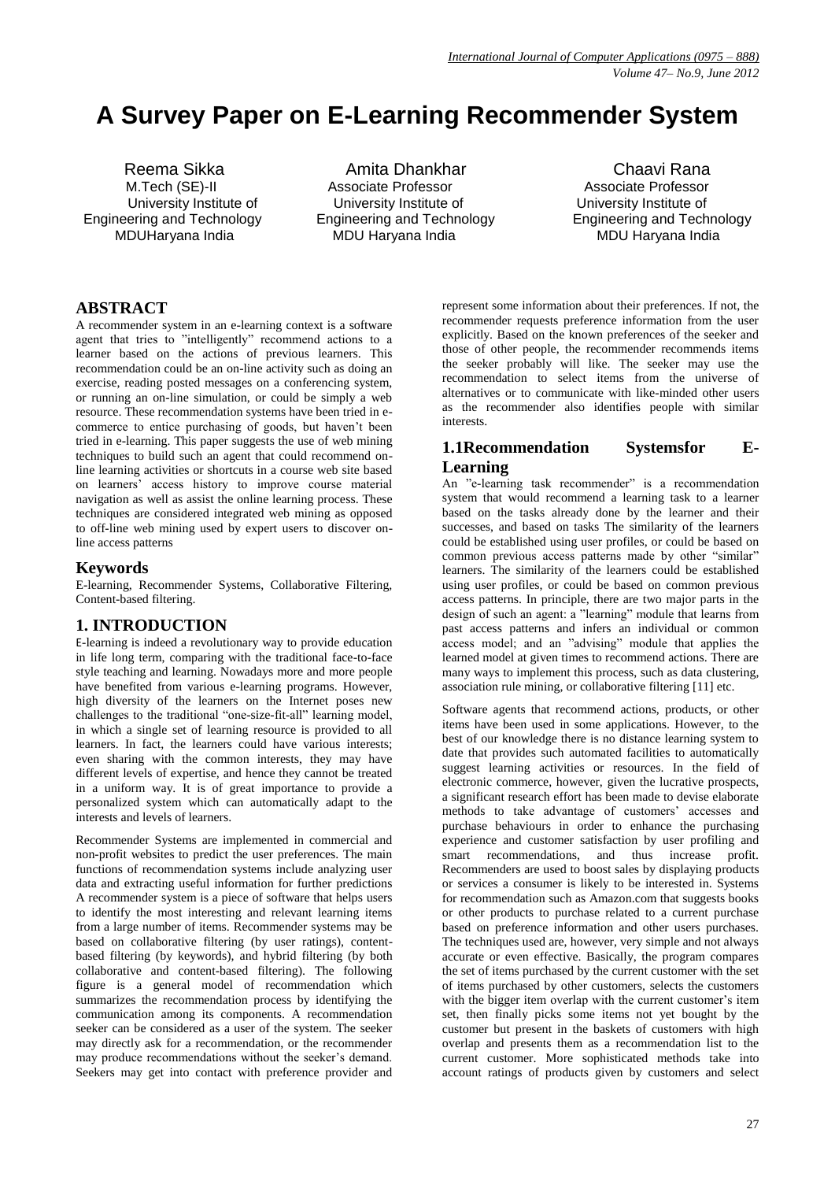# **A Survey Paper on E-Learning Recommender System**

Engineering and Technology Engineering and Technology Engineering and Technology

Reema Sikka  $\blacksquare$  Amita Dhankhar  $\blacksquare$  Chaavi Rana M.Tech (SE)-II Associate Professor Associate Professor University Institute of University Institute of University Institute of MDUHaryana India MDU Haryana India MDU Haryana India

# **ABSTRACT**

A recommender system in an e-learning context is a software agent that tries to "intelligently" recommend actions to a learner based on the actions of previous learners. This recommendation could be an on-line activity such as doing an exercise, reading posted messages on a conferencing system, or running an on-line simulation, or could be simply a web resource. These recommendation systems have been tried in ecommerce to entice purchasing of goods, but haven't been tried in e-learning. This paper suggests the use of web mining techniques to build such an agent that could recommend online learning activities or shortcuts in a course web site based on learners' access history to improve course material navigation as well as assist the online learning process. These techniques are considered integrated web mining as opposed to off-line web mining used by expert users to discover online access patterns

#### **Keywords**

E-learning, Recommender Systems, Collaborative Filtering, Content-based filtering.

# **1. INTRODUCTION**

E-learning is indeed a revolutionary way to provide education in life long term, comparing with the traditional face-to-face style teaching and learning. Nowadays more and more people have benefited from various e-learning programs. However, high diversity of the learners on the Internet poses new challenges to the traditional "one-size-fit-all" learning model, in which a single set of learning resource is provided to all learners. In fact, the learners could have various interests; even sharing with the common interests, they may have different levels of expertise, and hence they cannot be treated in a uniform way. It is of great importance to provide a personalized system which can automatically adapt to the interests and levels of learners.

Recommender Systems are implemented in commercial and non-profit websites to predict the user preferences. The main functions of recommendation systems include analyzing user data and extracting useful information for further predictions A recommender system is a piece of software that helps users to identify the most interesting and relevant learning items from a large number of items. Recommender systems may be based on collaborative filtering (by user ratings), contentbased filtering (by keywords), and hybrid filtering (by both collaborative and content-based filtering). The following figure is a general model of recommendation which summarizes the recommendation process by identifying the communication among its components. A recommendation seeker can be considered as a user of the system. The seeker may directly ask for a recommendation, or the recommender may produce recommendations without the seeker's demand. Seekers may get into contact with preference provider and

represent some information about their preferences. If not, the recommender requests preference information from the user explicitly. Based on the known preferences of the seeker and those of other people, the recommender recommends items the seeker probably will like. The seeker may use the recommendation to select items from the universe of alternatives or to communicate with like-minded other users as the recommender also identifies people with similar interests.

# **1.1Recommendation Systemsfor E-Learning**

An "e-learning task recommender" is a recommendation system that would recommend a learning task to a learner based on the tasks already done by the learner and their successes, and based on tasks The similarity of the learners could be established using user profiles, or could be based on common previous access patterns made by other "similar" learners. The similarity of the learners could be established using user profiles, or could be based on common previous access patterns. In principle, there are two major parts in the design of such an agent: a "learning" module that learns from past access patterns and infers an individual or common access model; and an "advising" module that applies the learned model at given times to recommend actions. There are many ways to implement this process, such as data clustering, association rule mining, or collaborative filtering [11] etc.

Software agents that recommend actions, products, or other items have been used in some applications. However, to the best of our knowledge there is no distance learning system to date that provides such automated facilities to automatically suggest learning activities or resources. In the field of electronic commerce, however, given the lucrative prospects, a significant research effort has been made to devise elaborate methods to take advantage of customers' accesses and purchase behaviours in order to enhance the purchasing experience and customer satisfaction by user profiling and smart recommendations, and thus increase profit. Recommenders are used to boost sales by displaying products or services a consumer is likely to be interested in. Systems for recommendation such as Amazon.com that suggests books or other products to purchase related to a current purchase based on preference information and other users purchases. The techniques used are, however, very simple and not always accurate or even effective. Basically, the program compares the set of items purchased by the current customer with the set of items purchased by other customers, selects the customers with the bigger item overlap with the current customer's item set, then finally picks some items not yet bought by the customer but present in the baskets of customers with high overlap and presents them as a recommendation list to the current customer. More sophisticated methods take into account ratings of products given by customers and select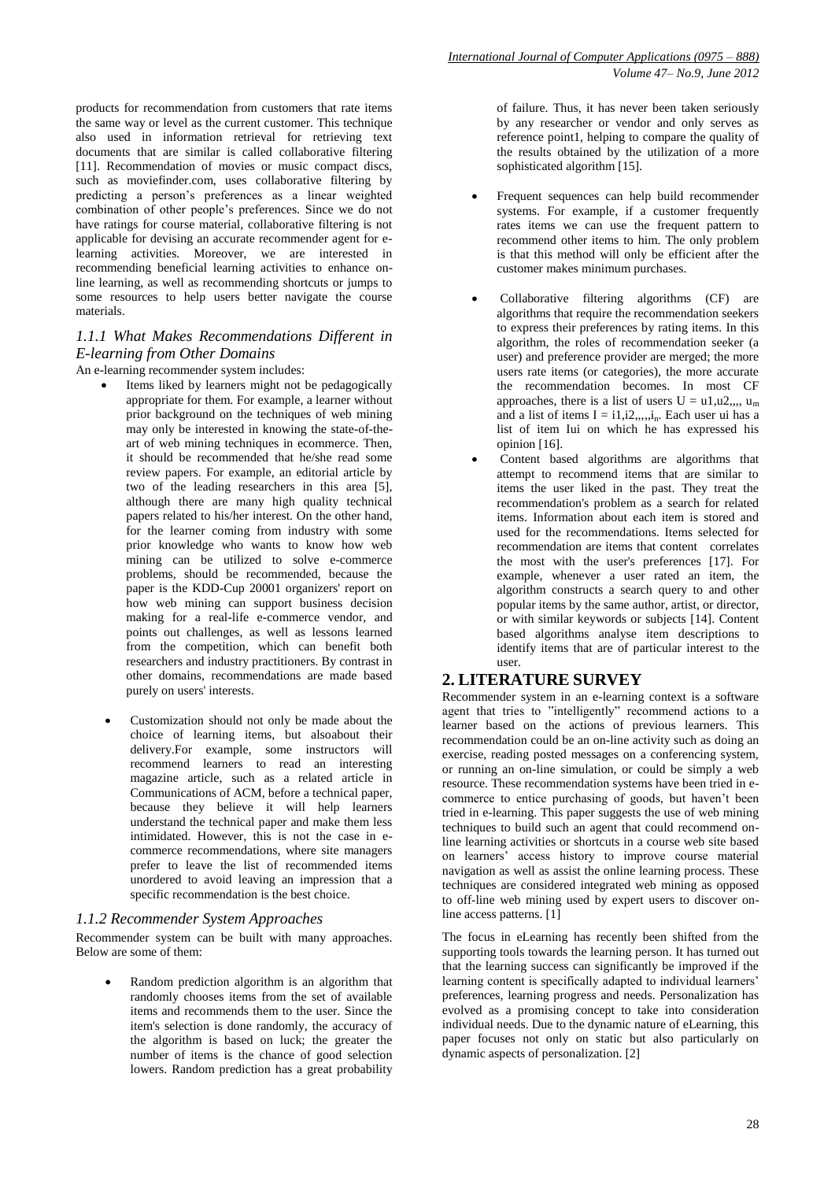products for recommendation from customers that rate items the same way or level as the current customer. This technique also used in information retrieval for retrieving text documents that are similar is called collaborative filtering [11]. Recommendation of movies or music compact discs, such as moviefinder.com, uses collaborative filtering by predicting a person's preferences as a linear weighted combination of other people's preferences. Since we do not have ratings for course material, collaborative filtering is not applicable for devising an accurate recommender agent for elearning activities. Moreover, we are interested in recommending beneficial learning activities to enhance online learning, as well as recommending shortcuts or jumps to some resources to help users better navigate the course materials.

# *1.1.1 What Makes Recommendations Different in E-learning from Other Domains*

An e-learning recommender system includes:

- Items liked by learners might not be pedagogically appropriate for them. For example, a learner without prior background on the techniques of web mining may only be interested in knowing the state-of-theart of web mining techniques in ecommerce. Then, it should be recommended that he/she read some review papers. For example, an editorial article by two of the leading researchers in this area [5], although there are many high quality technical papers related to his/her interest. On the other hand, for the learner coming from industry with some prior knowledge who wants to know how web mining can be utilized to solve e-commerce problems, should be recommended, because the paper is the KDD-Cup 20001 organizers' report on how web mining can support business decision making for a real-life e-commerce vendor, and points out challenges, as well as lessons learned from the competition, which can benefit both researchers and industry practitioners. By contrast in other domains, recommendations are made based purely on users' interests.
- Customization should not only be made about the choice of learning items, but alsoabout their delivery.For example, some instructors will recommend learners to read an interesting magazine article, such as a related article in Communications of ACM, before a technical paper, because they believe it will help learners understand the technical paper and make them less intimidated. However, this is not the case in ecommerce recommendations, where site managers prefer to leave the list of recommended items unordered to avoid leaving an impression that a specific recommendation is the best choice.

#### *1.1.2 Recommender System Approaches*

Recommender system can be built with many approaches. Below are some of them:

 Random prediction algorithm is an algorithm that randomly chooses items from the set of available items and recommends them to the user. Since the item's selection is done randomly, the accuracy of the algorithm is based on luck; the greater the number of items is the chance of good selection lowers. Random prediction has a great probability

of failure. Thus, it has never been taken seriously by any researcher or vendor and only serves as reference point1, helping to compare the quality of the results obtained by the utilization of a more sophisticated algorithm [15].

- Frequent sequences can help build recommender systems. For example, if a customer frequently rates items we can use the frequent pattern to recommend other items to him. The only problem is that this method will only be efficient after the customer makes minimum purchases.
- Collaborative filtering algorithms (CF) are algorithms that require the recommendation seekers to express their preferences by rating items. In this algorithm, the roles of recommendation seeker (a user) and preference provider are merged; the more users rate items (or categories), the more accurate the recommendation becomes. In most CF approaches, there is a list of users  $U = u1, u2, ..., u<sub>m</sub>$ and a list of items  $I = i1, i2, ..., i_n$ . Each user ui has a list of item Iui on which he has expressed his opinion [16].
- Content based algorithms are algorithms that attempt to recommend items that are similar to items the user liked in the past. They treat the recommendation's problem as a search for related items. Information about each item is stored and used for the recommendations. Items selected for recommendation are items that content correlates the most with the user's preferences [17]. For example, whenever a user rated an item, the algorithm constructs a search query to and other popular items by the same author, artist, or director, or with similar keywords or subjects [14]. Content based algorithms analyse item descriptions to identify items that are of particular interest to the user.

# **2. LITERATURE SURVEY**

Recommender system in an e-learning context is a software agent that tries to "intelligently" recommend actions to a learner based on the actions of previous learners. This recommendation could be an on-line activity such as doing an exercise, reading posted messages on a conferencing system, or running an on-line simulation, or could be simply a web resource. These recommendation systems have been tried in ecommerce to entice purchasing of goods, but haven't been tried in e-learning. This paper suggests the use of web mining techniques to build such an agent that could recommend online learning activities or shortcuts in a course web site based on learners' access history to improve course material navigation as well as assist the online learning process. These techniques are considered integrated web mining as opposed to off-line web mining used by expert users to discover online access patterns. [1]

The focus in eLearning has recently been shifted from the supporting tools towards the learning person. It has turned out that the learning success can significantly be improved if the learning content is specifically adapted to individual learners' preferences, learning progress and needs. Personalization has evolved as a promising concept to take into consideration individual needs. Due to the dynamic nature of eLearning, this paper focuses not only on static but also particularly on dynamic aspects of personalization. [2]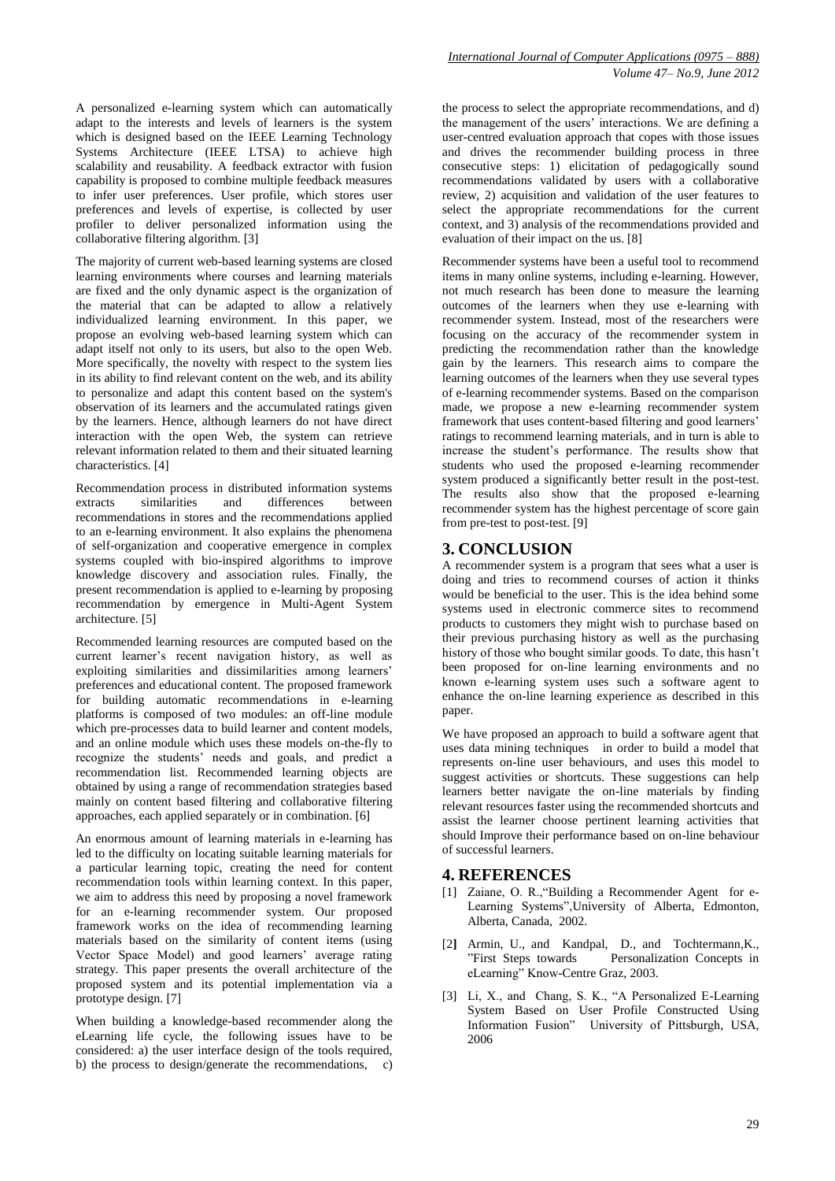A personalized e-learning system which can automatically adapt to the interests and levels of learners is the system which is designed based on the IEEE Learning Technology Systems Architecture (IEEE LTSA) to achieve high scalability and reusability. A feedback extractor with fusion capability is proposed to combine multiple feedback measures to infer user preferences. User profile, which stores user preferences and levels of expertise, is collected by user profiler to deliver personalized information using the collaborative filtering algorithm. [3]

The majority of current web-based learning systems are closed learning environments where courses and learning materials are fixed and the only dynamic aspect is the organization of the material that can be adapted to allow a relatively individualized learning environment. In this paper, we propose an evolving web-based learning system which can adapt itself not only to its users, but also to the open Web. More specifically, the novelty with respect to the system lies in its ability to find relevant content on the web, and its ability to personalize and adapt this content based on the system's observation of its learners and the accumulated ratings given by the learners. Hence, although learners do not have direct interaction with the open Web, the system can retrieve relevant information related to them and their situated learning characteristics. [4]

Recommendation process in distributed information systems extracts similarities and differences between recommendations in stores and the recommendations applied to an e-learning environment. It also explains the phenomena of self-organization and cooperative emergence in complex systems coupled with bio-inspired algorithms to improve knowledge discovery and association rules. Finally, the present recommendation is applied to e-learning by proposing recommendation by emergence in Multi-Agent System architecture. [5]

Recommended learning resources are computed based on the current learner's recent navigation history, as well as exploiting similarities and dissimilarities among learners' preferences and educational content. The proposed framework for building automatic recommendations in e-learning platforms is composed of two modules: an off-line module which pre-processes data to build learner and content models, and an online module which uses these models on-the-fly to recognize the students' needs and goals, and predict a recommendation list. Recommended learning objects are obtained by using a range of recommendation strategies based mainly on content based filtering and collaborative filtering approaches, each applied separately or in combination. [6]

An enormous amount of learning materials in e-learning has led to the difficulty on locating suitable learning materials for a particular learning topic, creating the need for content recommendation tools within learning context. In this paper, we aim to address this need by proposing a novel framework for an e-learning recommender system. Our proposed framework works on the idea of recommending learning materials based on the similarity of content items (using Vector Space Model) and good learners' average rating strategy. This paper presents the overall architecture of the proposed system and its potential implementation via a prototype design. [7]

When building a knowledge-based recommender along the eLearning life cycle, the following issues have to be considered: a) the user interface design of the tools required, b) the process to design/generate the recommendations, c)

the process to select the appropriate recommendations, and d) the management of the users' interactions. We are defining a user-centred evaluation approach that copes with those issues and drives the recommender building process in three consecutive steps: 1) elicitation of pedagogically sound recommendations validated by users with a collaborative review, 2) acquisition and validation of the user features to select the appropriate recommendations for the current context, and 3) analysis of the recommendations provided and evaluation of their impact on the us. [8]

Recommender systems have been a useful tool to recommend items in many online systems, including e-learning. However, not much research has been done to measure the learning outcomes of the learners when they use e-learning with recommender system. Instead, most of the researchers were focusing on the accuracy of the recommender system in predicting the recommendation rather than the knowledge gain by the learners. This research aims to compare the learning outcomes of the learners when they use several types of e-learning recommender systems. Based on the comparison made, we propose a new e-learning recommender system framework that uses content-based filtering and good learners' ratings to recommend learning materials, and in turn is able to increase the student's performance. The results show that students who used the proposed e-learning recommender system produced a significantly better result in the post-test. The results also show that the proposed e-learning recommender system has the highest percentage of score gain from pre-test to post-test. [9]

# **3. CONCLUSION**

A recommender system is a program that sees what a user is doing and tries to recommend courses of action it thinks would be beneficial to the user. This is the idea behind some systems used in electronic commerce sites to recommend products to customers they might wish to purchase based on their previous purchasing history as well as the purchasing history of those who bought similar goods. To date, this hasn't been proposed for on-line learning environments and no known e-learning system uses such a software agent to enhance the on-line learning experience as described in this paper.

We have proposed an approach to build a software agent that uses data mining techniques in order to build a model that represents on-line user behaviours, and uses this model to suggest activities or shortcuts. These suggestions can help learners better navigate the on-line materials by finding relevant resources faster using the recommended shortcuts and assist the learner choose pertinent learning activities that should Improve their performance based on on-line behaviour of successful learners.

# **4. REFERENCES**

- [1] Zaiane, O. R.,"Building a Recommender Agent for e-Learning Systems",University of Alberta, Edmonton, Alberta, Canada, 2002.
- [2**]** Armin, U., and Kandpal, D., and Tochtermann,K., Personalization Concepts in eLearning" Know-Centre Graz, 2003.
- [3] Li, X., and Chang, S. K., "A Personalized E-Learning System Based on User Profile Constructed Using Information Fusion" University of Pittsburgh, USA, 2006